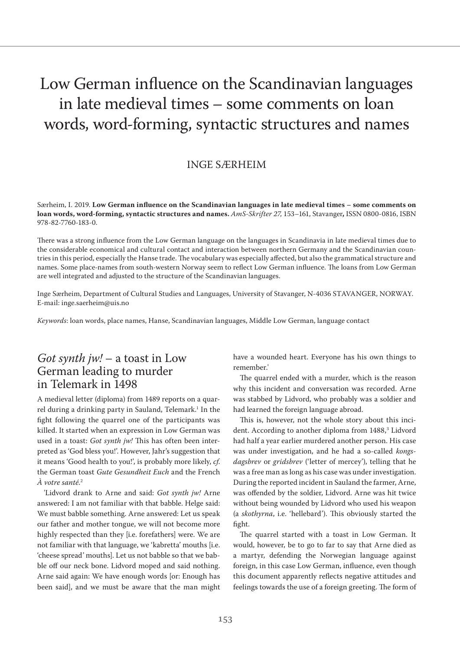# Low German influence on the Scandinavian languages in late medieval times – some comments on loan words, word-forming, syntactic structures and names

#### INGE SÆRHEIM

Særheim, I. 2019. **Low German influence on the Scandinavian languages in late medieval times – some comments on loan words, word-forming, syntactic structures and names.** *AmS-Skrifter 27*, 153–161, Stavanger**,** ISSN 0800-0816, ISBN 978-82-7760-183-0.

There was a strong influence from the Low German language on the languages in Scandinavia in late medieval times due to the considerable economical and cultural contact and interaction between northern Germany and the Scandinavian countries in this period, especially the Hanse trade. The vocabulary was especially affected, but also the grammatical structure and names. Some place-names from south-western Norway seem to reflect Low German influence. The loans from Low German are well integrated and adjusted to the structure of the Scandinavian languages.

Inge Særheim, Department of Cultural Studies and Languages, University of Stavanger, N-4036 STAVANGER, NORWAY. E-mail: inge.saerheim@uis.no

*Keywords*: loan words, place names, Hanse, Scandinavian languages, Middle Low German, language contact

#### *Got synth jw!* – a toast in Low German leading to murder in Telemark in 1498

A medieval letter (diploma) from 1489 reports on a quarrel during a drinking party in Sauland, Telemark.<sup>1</sup> In the fight following the quarrel one of the participants was killed. It started when an expression in Low German was used in a toast: *Got synth jw!* This has often been interpreted as 'God bless you!'. However, Jahr's suggestion that it means 'Good health to you!', is probably more likely, *cf*. the German toast *Gute Gesundheit Euch* and the French *À votre santé*. 2

'Lidvord drank to Arne and said: *Got synth jw!* Arne answered: I am not familiar with that babble. Helge said: We must babble something. Arne answered: Let us speak our father and mother tongue, we will not become more highly respected than they [i.e. forefathers] were. We are not familiar with that language, we 'kabretta' mouths [i.e. 'cheese spread' mouths]. Let us not babble so that we babble off our neck bone. Lidvord moped and said nothing. Arne said again: We have enough words [or: Enough has been said], and we must be aware that the man might have a wounded heart. Everyone has his own things to remember.'

The quarrel ended with a murder, which is the reason why this incident and conversation was recorded. Arne was stabbed by Lidvord, who probably was a soldier and had learned the foreign language abroad.

This is, however, not the whole story about this incident. According to another diploma from 1488,<sup>3</sup> Lidvord had half a year earlier murdered another person. His case was under investigation, and he had a so-called *kongsdagsbrev* or *gridsbrev* ('letter of mercey'), telling that he was a free man as long as his case was under investigation. During the reported incident in Sauland the farmer, Arne, was offended by the soldier, Lidvord. Arne was hit twice without being wounded by Lidvord who used his weapon (a *skothyrna*, i.e. 'hellebard'). This obviously started the fight.

The quarrel started with a toast in Low German. It would, however, be to go to far to say that Arne died as a martyr, defending the Norwegian language against foreign, in this case Low German, influence, even though this document apparently reflects negative attitudes and feelings towards the use of a foreign greeting. The form of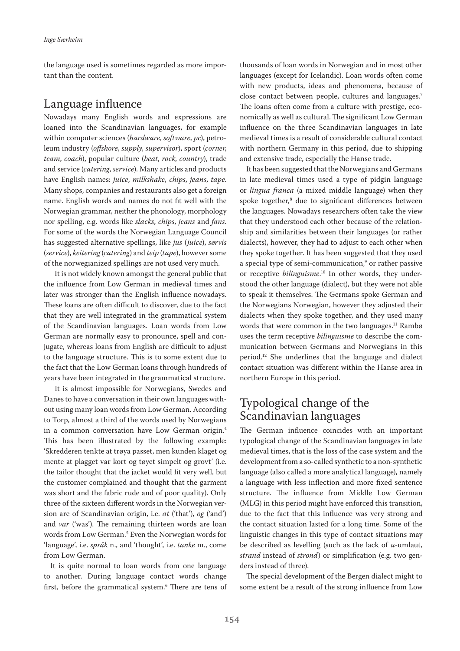the language used is sometimes regarded as more important than the content.

#### Language influence

Nowadays many English words and expressions are loaned into the Scandinavian languages, for example within computer sciences (*hardware*, *software*, *pc*), petroleum industry (*offshore*, *supply*, *supervisor*), sport (*corner*, *team*, *coach*), popular culture (*beat*, *rock*, *country*), trade and service (*catering*, *service*). Many articles and products have English names: *juice*, *milkshake*, *chips*, *jeans*, *tape*. Many shops, companies and restaurants also get a foreign name. English words and names do not fit well with the Norwegian grammar, neither the phonology, morphology nor spelling, e.g. words like *slacks*, *chips*, *jeans* and *fans*. For some of the words the Norwegian Language Council has suggested alternative spellings, like *jus* (*juice*), *sørvis*  (*service*), *keitering* (*catering*) and *teip* (*tape*), however some of the norwegianized spellings are not used very much.

It is not widely known amongst the general public that the influence from Low German in medieval times and later was stronger than the English influence nowadays. These loans are often difficult to discover, due to the fact that they are well integrated in the grammatical system of the Scandinavian languages. Loan words from Low German are normally easy to pronounce, spell and conjugate, whereas loans from English are difficult to adjust to the language structure. This is to some extent due to the fact that the Low German loans through hundreds of years have been integrated in the grammatical structure.

It is almost impossible for Norwegians, Swedes and Danes to have a conversation in their own languages without using many loan words from Low German. According to Torp, almost a third of the words used by Norwegians in a common conversation have Low German origin.4 This has been illustrated by the following example: 'Skredderen tenkte at trøya passet, men kunden klaget og mente at plagget var kort og tøyet simpelt og grovt' (i.e. the tailor thought that the jacket would fit very well, but the customer complained and thought that the garment was short and the fabric rude and of poor quality). Only three of the sixteen different words in the Norwegian version are of Scandinavian origin, i.e. *at* ('that'), *og* ('and') and *var* ('was'). The remaining thirteen words are loan words from Low German.5 Even the Norwegian words for 'language', i.e. *språk* n., and 'thought', i.e. *tanke* m., come from Low German.

It is quite normal to loan words from one language to another. During language contact words change first, before the grammatical system.6 There are tens of thousands of loan words in Norwegian and in most other languages (except for Icelandic). Loan words often come with new products, ideas and phenomena, because of close contact between people, cultures and languages.7 The loans often come from a culture with prestige, economically as well as cultural. The significant Low German influence on the three Scandinavian languages in late medieval times is a result of considerable cultural contact with northern Germany in this period, due to shipping and extensive trade, especially the Hanse trade.

It has been suggested that the Norwegians and Germans in late medieval times used a type of pidgin language or *lingua franca* (a mixed middle language) when they spoke together,8 due to significant differences between the languages. Nowadays researchers often take the view that they understood each other because of the relationship and similarities between their languages (or rather dialects), however, they had to adjust to each other when they spoke together. It has been suggested that they used a special type of semi-communication,9 or rather passive or receptive *bilinguisme*. 10 In other words, they understood the other language (dialect), but they were not able to speak it themselves. The Germans spoke German and the Norwegians Norwegian, however they adjusted their dialects when they spoke together, and they used many words that were common in the two languages.<sup>11</sup> Rambø uses the term receptive *bilinguisme* to describe the communication between Germans and Norwegians in this period.12 She underlines that the language and dialect contact situation was different within the Hanse area in northern Europe in this period.

# Typological change of the Scandinavian languages

The German influence coincides with an important typological change of the Scandinavian languages in late medieval times, that is the loss of the case system and the development from a so-called synthetic to a non-synthetic language (also called a more analytical language), namely a language with less inflection and more fixed sentence structure. The influence from Middle Low German (MLG) in this period might have enforced this transition, due to the fact that this influence was very strong and the contact situation lasted for a long time. Some of the linguistic changes in this type of contact situations may be described as levelling (such as the lack of *u*-umlaut*, strand* instead of *strond*) or simplification (e.g. two genders instead of three).

The special development of the Bergen dialect might to some extent be a result of the strong influence from Low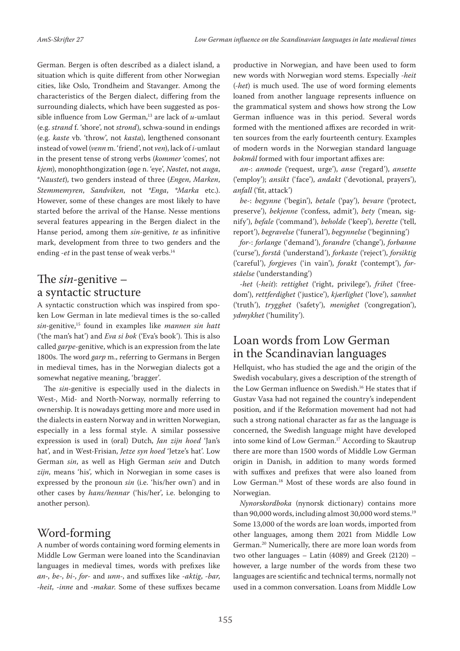German. Bergen is often described as a dialect island, a situation which is quite different from other Norwegian cities, like Oslo, Trondheim and Stavanger. Among the characteristics of the Bergen dialect, differing from the surrounding dialects, which have been suggested as possible influence from Low German,13 are lack of *u*-umlaut (e.g. *strand* f. 'shore', not *strond*), schwa-sound in endings (e.g. *kaste* vb. 'throw', not *kasta*), lengthened consonant instead of vowel (*venn* m. 'friend', not *ven*), lack of *i*-umlaut in the present tense of strong verbs (*kommer* 'comes', not *kjem*), monophthongization (øge n. 'eye', *Nøstet*, not *auga*, \**Naustet*), two genders instead of three (*Engen*, *Marken*, *Stemmemyren*, *Sandviken*, not *\*Enga*, *\*Marka* etc.). However, some of these changes are most likely to have started before the arrival of the Hanse. Nesse mentions several features appearing in the Bergen dialect in the Hanse period, among them *sin*-genitive, *te* as infinitive mark, development from three to two genders and the ending *-et* in the past tense of weak verbs.<sup>14</sup>

## The *sin*-genitive – a syntactic structure

A syntactic construction which was inspired from spoken Low German in late medieval times is the so-called *sin*-genitive,15 found in examples like *mannen sin hatt* ('the man's hat') and *Eva si bok* ('Eva's book'). This is also called *garpe*-genitive, which is an expression from the late 1800s. The word *garp* m., referring to Germans in Bergen in medieval times, has in the Norwegian dialects got a somewhat negative meaning, 'bragger'.

The *sin*-genitive is especially used in the dialects in West-, Mid- and North-Norway, normally referring to ownership. It is nowadays getting more and more used in the dialects in eastern Norway and in written Norwegian, especially in a less formal style. A similar possessive expression is used in (oral) Dutch, *Jan zijn hoed* 'Jan's hat', and in West-Frisian, *Jetze syn hoed* 'Jetze's hat'. Low German *sin*, as well as High German *sein* and Dutch *zijn*, means 'his', which in Norwegian in some cases is expressed by the pronoun *sin* (i.e. 'his/her own') and in other cases by *hans/hennar* ('his/her', i.e. belonging to another person).

#### Word-forming

A number of words containing word forming elements in Middle Low German were loaned into the Scandinavian languages in medieval times, words with prefixes like *an-*, *be-*, *bi-*, *for-* and *unn-*, and suffixes like *-aktig*, *-bar*, *-heit*, *-inne* and *-makar*. Some of these suffixes became productive in Norwegian, and have been used to form new words with Norwegian word stems. Especially *-heit* (*-het*) is much used. The use of word forming elements loaned from another language represents influence on the grammatical system and shows how strong the Low German influence was in this period. Several words formed with the mentioned affixes are recorded in written sources from the early fourteenth century. Examples of modern words in the Norwegian standard language *bokmål* formed with four important affixes are:

*an*-: *anmode* ('request, urge'), *anse* ('regard'), *ansette* ('employ'); *ansikt* ('face'), *andakt* ('devotional, prayers'), *anfall* ('fit, attack')

*be-*: *begynne* ('begin'), *betale* ('pay'), *bevare* ('protect, preserve'), *bekjenne* ('confess, admit'), *bety* ('mean, signify'), *befale* ('command'), *beholde* ('keep'), *berette* ('tell, report'), *begravelse* ('funeral'), *begynnelse* ('beginning')

*for*-: *forlange* ('demand'), *forandre* ('change'), *forbanne* ('curse'), *forstå* ('understand'), *forkaste* ('reject'), *forsiktig* ('careful'), *forgjeves* ('in vain'), *forakt* ('contempt'), *forståelse* ('understanding')

-*het* (*-heit*): *rettighet* ('right, privilege'), *frihet* ('freedom'), *rettferdighet* ('justice'), *kjærlighet* ('love'), *sannhet* ('truth'), *trygghet* ('safety'), *menighet* ('congregation'), *ydmykhet* ('humility').

#### Loan words from Low German in the Scandinavian languages

Hellquist, who has studied the age and the origin of the Swedish vocabulary, gives a description of the strength of the Low German influence on Swedish.<sup>16</sup> He states that if Gustav Vasa had not regained the country's independent position, and if the Reformation movement had not had such a strong national character as far as the language is concerned, the Swedish language might have developed into some kind of Low German.17 According to Skautrup there are more than 1500 words of Middle Low German origin in Danish, in addition to many words formed with suffixes and prefixes that were also loaned from Low German.<sup>18</sup> Most of these words are also found in Norwegian.

*Nynorskordboka* (nynorsk dictionary) contains more than 90,000 words, including almost 30,000 word stems.<sup>19</sup> Some 13,000 of the words are loan words, imported from other languages, among them 2021 from Middle Low German.20 Numerically, there are more loan words from two other languages – Latin (4089) and Greek (2120) – however, a large number of the words from these two languages are scientific and technical terms, normally not used in a common conversation. Loans from Middle Low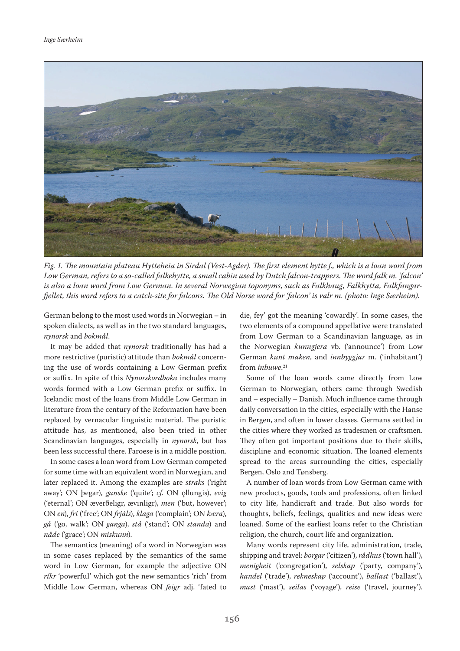

*Fig. 1. The mountain plateau Hytteheia in Sirdal (Vest-Agder). The first element hytte f., which is a loan word from Low German, refers to a so-called falkehytte, a small cabin used by Dutch falcon-trappers. The word falk m. 'falcon' is also a loan word from Low German. In several Norwegian toponyms, such as Falkhaug, Falkhytta, Falkfangarfjellet, this word refers to a catch-site for falcons. The Old Norse word for 'falcon' is valr m. (photo: Inge Særheim).* 

German belong to the most used words in Norwegian – in spoken dialects, as well as in the two standard languages, *nynorsk* and *bokmål*.

It may be added that *nynorsk* traditionally has had a more restrictive (puristic) attitude than *bokmål* concerning the use of words containing a Low German prefix or suffix. In spite of this *Nynorskordboka* includes many words formed with a Low German prefix or suffix. In Icelandic most of the loans from Middle Low German in literature from the century of the Reformation have been replaced by vernacular linguistic material. The puristic attitude has, as mentioned, also been tried in other Scandinavian languages, especially in *nynorsk*, but has been less successful there. Faroese is in a middle position.

In some cases a loan word from Low German competed for some time with an equivalent word in Norwegian, and later replaced it. Among the examples are *straks* ('right away'; ON þegar), *ganske* ('quite'; *cf*. ON ǫllungis), *evig* ('eternal'; ON æverðeligr, ævinligr), *men* ('but, however'; ON *en*), *fri* ('free'; ON *frjáls*), *klaga* ('complain'; ON *kæra*), *gå* ('go, walk'; ON *ganga*), *stå* ('stand'; ON *standa*) and *nåde* ('grace'; ON *miskunn*).

The semantics (meaning) of a word in Norwegian was in some cases replaced by the semantics of the same word in Low German, for example the adjective ON *ríkr* 'powerful' which got the new semantics 'rich' from Middle Low German, whereas ON *feigr* adj. 'fated to die, fey' got the meaning 'cowardly'. In some cases, the two elements of a compound appellative were translated from Low German to a Scandinavian language, as in the Norwegian *kunngjera* vb. ('announce') from Low German *kunt maken*, and *innbyggjar* m. ('inhabitant') from *inbuwe*. 21

Some of the loan words came directly from Low German to Norwegian, others came through Swedish and – especially – Danish. Much influence came through daily conversation in the cities, especially with the Hanse in Bergen, and often in lower classes. Germans settled in the cities where they worked as tradesmen or craftsmen. They often got important positions due to their skills, discipline and economic situation. The loaned elements spread to the areas surrounding the cities, especially Bergen, Oslo and Tønsberg.

A number of loan words from Low German came with new products, goods, tools and professions, often linked to city life, handicraft and trade. But also words for thoughts, beliefs, feelings, qualities and new ideas were loaned. Some of the earliest loans refer to the Christian religion, the church, court life and organization.

Many words represent city life, administration, trade, shipping and travel: *borgar* ('citizen'), *rådhus* ('town hall'), *menigheit* ('congregation'), *selskap* ('party, company'), *handel* ('trade'), *rekneskap* ('account'), *ballast* ('ballast'), *mast* ('mast'), *seilas* ('voyage'), *reise* ('travel, journey').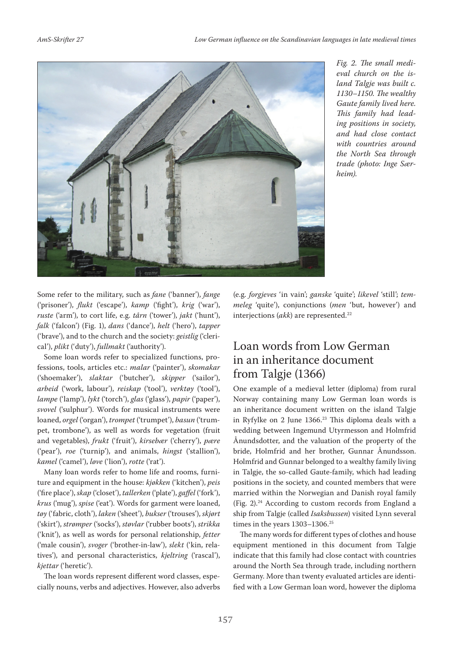

*Fig. 2. The small medieval church on the island Talgje was built c. 1130–1150. The wealthy Gaute family lived here. This family had leading positions in society, and had close contact with countries around the North Sea through trade (photo: Inge Særheim).* 

Some refer to the military, such as *fane* ('banner'), *fange* ('prisoner'), *flukt* ('escape'), *kamp* ('fight'), *krig* ('war'), *ruste* ('arm'), to cort life, e.g. *tårn* ('tower'), *jakt* ('hunt'), *falk* ('falcon') (Fig. 1), *dans* ('dance'), *helt* ('hero'), *tapper* ('brave'), and to the church and the society: *geistlig* ('clerical'), *plikt* ('duty'), *fullmakt* ('authority').

Some loan words refer to specialized functions, professions, tools, articles etc.: *malar* ('painter'), *skomakar* ('shoemaker'), *slaktar* ('butcher'), *skipper* ('sailor'), *arbeid* ('work, labour'), *reiskap* ('tool'), *verktøy* ('tool'), *lampe* ('lamp'), *lykt* ('torch'), *glas* ('glass'), *papir* ('paper'), *svovel* ('sulphur'). Words for musical instruments were loaned, *orgel* ('organ'), *trompet* ('trumpet'), *basun* ('trumpet, trombone'), as well as words for vegetation (fruit and vegetables), *frukt* ('fruit'), *kirsebær* ('cherry'), *pære* ('pear'), *roe* ('turnip'), and animals, *hingst* ('stallion'), *kamel* ('camel'), *løve* ('lion'), *rotte* ('rat').

Many loan words refer to home life and rooms, furniture and equipment in the house: *kjøkken* ('kitchen'), *peis* ('fire place'), *skap* ('closet'), *tallerken* ('plate'), *gaffel* ('fork'), *krus* ('mug'), *spise* ('eat'). Words for garment were loaned, *tøy* ('fabric, cloth'), *laken* ('sheet'), *bukser* ('trouses'), *skjørt* ('skirt'), *strømper* ('socks'), *støvlar* ('rubber boots'), *strikka* ('knit'), as well as words for personal relationship, *fetter* ('male cousin'), *svoger* ('brother-in-law'), *slekt* ('kin, relatives'), and personal characteristics, *kjeltring* ('rascal'), *kjettar* ('heretic').

The loan words represent different word classes, especially nouns, verbs and adjectives. However, also adverbs (e.g. *forgjeves* 'in vain'; *ganske* 'quite'; *likevel* 'still'; *temmeleg* 'quite'), conjunctions (*men* 'but, however') and interjections (akk) are represented.<sup>22</sup>

## Loan words from Low German in an inheritance document from Talgje (1366)

One example of a medieval letter (diploma) from rural Norway containing many Low German loan words is an inheritance document written on the island Talgje in Ryfylke on 2 June 1366.<sup>23</sup> This diploma deals with a wedding between Ingemund Utyrmesson and Holmfrid Ånundsdotter, and the valuation of the property of the bride, Holmfrid and her brother, Gunnar Ånundsson. Holmfrid and Gunnar belonged to a wealthy family living in Talgje, the so-called Gaute-family, which had leading positions in the society, and counted members that were married within the Norwegian and Danish royal family (Fig. 2).24 According to custom records from England a ship from Talgje (called *Isaksbussen*) visited Lynn several times in the years 1303-1306.<sup>25</sup>

The many words for different types of clothes and house equipment mentioned in this document from Talgje indicate that this family had close contact with countries around the North Sea through trade, including northern Germany. More than twenty evaluated articles are identified with a Low German loan word, however the diploma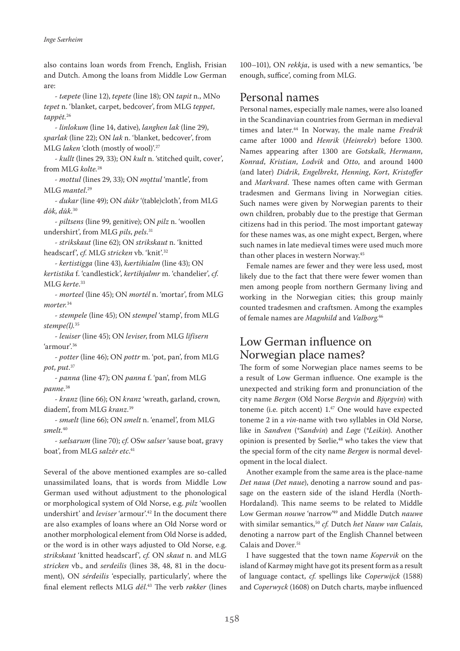also contains loan words from French, English, Frisian and Dutch. Among the loans from Middle Low German are:

- *tæpete* (line 12), *tepete* (line 18); ON *tapit* n., MNo *tepet* n. 'blanket, carpet, bedcover', from MLG *teppet*, *tappēt.*<sup>26</sup>

- *linlokum* (line 14, dative), *langhen lak* (line 29), *sparlak* (line 22); ON *lak* n. 'blanket, bedcover', from MLG *laken* 'cloth (mostly of wool)'.27

- *kullt* (lines 29, 33); ON *kult* n. 'stitched quilt, cover', from MLG *kolte.*<sup>28</sup>

*- mottul* (lines 29, 33); ON *m*ǫ*ttul* 'mantle', from MLG *mantel*. 29

- *dukar* (line 49); ON *dúkr* '(table)cloth', from MLG *dōk*, *dūk*. 30

- *piltsens* (line 99, genitive); ON *pilz* n. 'woollen undershirt', from MLG *pils*, *pels*. 31

- *strikskaut* (line 62); ON *strikskaut* n. 'knitted headscarf', *cf*. MLG *stricken* vb. 'knit'.32

- *kertistigga* (line 43), *kærtihialm* (line 43); ON *kertistika* f. 'candlestick', *kertihjalmr* m. 'chandelier', *cf*. MLG *kerte*. 33

- *morteel* (line 45); ON *mortél* n. 'mortar', from MLG *morter.*<sup>34</sup>

- *stempele* (line 45); ON *stempel* 'stamp', from MLG *stempe(l).*<sup>35</sup>

- *leuiser* (line 45); ON *leviser*, from MLG *līfīsern* 'armour'.36

- *potter* (line 46); ON *pottr* m. 'pot, pan', from MLG *pot*, *put*. 37

- *panna* (line 47); ON *panna* f. 'pan', from MLG *panne*. 38

- *kranz* (line 66); ON *kranz* 'wreath, garland, crown, diadem', from MLG *kranz*. 39

- *smælt* (line 66); ON *smelt* n. 'enamel', from MLG *smelt.*<sup>40</sup>

- *sælsarum* (line 70); *cf*. OSw *salser* 'sause boat, gravy boat', from MLG *salzēr etc*. 41

Several of the above mentioned examples are so-called unassimilated loans, that is words from Middle Low German used without adjustment to the phonological or morphological system of Old Norse, e.g. *pilz* 'woollen undershirt' and *leviser* 'armour'.42 In the document there are also examples of loans where an Old Norse word or another morphological element from Old Norse is added, or the word is in other ways adjusted to Old Norse, e.g. *strikskaut* 'knitted headscarf', *cf.* ON *skaut* n. and MLG *stricken* vb., and *serdeilis* (lines 38, 48, 81 in the document), ON *sérdeilis* 'especially, particularly', where the final element reflects MLG *dēl*. 43 The verb *røkker* (lines

100–101), ON *rekkja*, is used with a new semantics, 'be enough, suffice', coming from MLG.

#### Personal names

Personal names, especially male names, were also loaned in the Scandinavian countries from German in medieval times and later.44 In Norway, the male name *Fredrik* came after 1000 and *Henrik* (*Heinrekr*) before 1300. Names appearing after 1300 are *Gotskalk*, *Hermann*, *Konrad*, *Kristian*, *Lodvik* and *Otto*, and around 1400 (and later) *Didrik*, *Engelbrekt*, *Henning*, *Kort*, *Kristoffer* and *Markvard*. These names often came with German tradesmen and Germans living in Norwegian cities. Such names were given by Norwegian parents to their own children, probably due to the prestige that German citizens had in this period. The most important gateway for these names was, as one might expect, Bergen, where such names in late medieval times were used much more than other places in western Norway.45

Female names are fewer and they were less used, most likely due to the fact that there were fewer women than men among people from northern Germany living and working in the Norwegian cities; this group mainly counted tradesmen and craftsmen. Among the examples of female names are *Magnhild* and *Valborg*. 46

# Low German influence on Norwegian place names?

The form of some Norwegian place names seems to be a result of Low German influence. One example is the unexpected and striking form and pronunciation of the city name *Bergen* (Old Norse *Bergvin* and *Bj*ǫ*rgvin*) with toneme (i.e. pitch accent) 1.47 One would have expected toneme 2 in a *vin*-name with two syllables in Old Norse, like in *Sandven* (*\*Sandvin*) and *Løge* (*\*Leikin*). Another opinion is presented by Sørlie,<sup>48</sup> who takes the view that the special form of the city name *Bergen* is normal development in the local dialect.

Another example from the same area is the place-name *Det naua* (*Det naue*), denoting a narrow sound and passage on the eastern side of the island Herdla (North-Hordaland). This name seems to be related to Middle Low German *nouwe* 'narrow'49 and Middle Dutch *nauwe* with similar semantics,50 *cf.* Dutch *het Nauw van Calais*, denoting a narrow part of the English Channel between Calais and Dover.<sup>51</sup>

I have suggested that the town name *Kopervik* on the island of Karmøy might have got its present form as a result of language contact, *cf*. spellings like *Coperwijck* (1588) and *Coperwyck* (1608) on Dutch charts, maybe influenced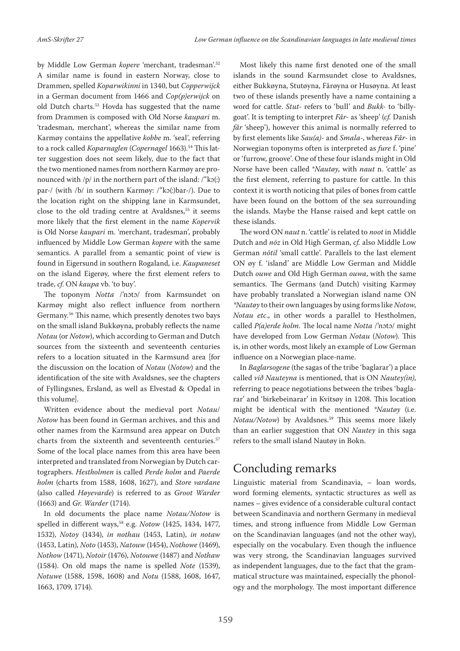by Middle Low German *kopere* 'merchant, tradesman'.52 A similar name is found in eastern Norway, close to Drammen, spelled *Koparwikinni* in 1340, but *Copperwijck* in a German document from 1466 and *Cop(p)erwijck* on old Dutch charts.53 Hovda has suggested that the name from Drammen is composed with Old Norse *kaupari* m. 'tradesman, merchant', whereas the similar name from Karmøy contains the appellative *kobbe* m. 'seal', referring to a rock called *Koparnaglen* (*Copernagel* 1663).<sup>54</sup> This latter suggestion does not seem likely, due to the fact that the two mentioned names from northern Karmøy are pronounced with /p/ in the northern part of the island: /"kɔ(:) par-/ (with /b/ in southern Karmøy: /"kɔ(:)bar-/). Due to the location right on the shipping lane in Karmsundet, close to the old trading centre at Avaldsnes,<sup>55</sup> it seems more likely that the first element in the name *Kopervik* is Old Norse *kaupari* m. 'merchant, tradesman', probably influenced by Middle Low German *kopere* with the same semantics. A parallel from a semantic point of view is found in Eigersund in southern Rogaland, i.e. *Kaupaneset* on the island Eigerøy, where the first element refers to trade, *cf*. ON *kaupa* vb. 'to buy'.

The toponym *Notta* /'nɔtɔ/ from Karmsundet on Karmøy might also reflect influence from northern Germany.56 This name, which presently denotes two bays on the small island Bukkøyna, probably reflects the name *Notau* (or *Notow*), which according to German and Dutch sources from the sixteenth and seventeenth centuries refers to a location situated in the Karmsund area [for the discussion on the location of *Notau* (*Notow*) and the identification of the site with Avaldsnes, see the chapters of Fyllingsnes, Ersland, as well as Elvestad & Opedal in this volume].

Written evidence about the medieval port *Notau*/ *Notow* has been found in German archives, and this and other names from the Karmsund area appear on Dutch charts from the sixteenth and seventeenth centuries.<sup>57</sup> Some of the local place names from this area have been interpreted and translated from Norwegian by Dutch cartographers. *Hestholmen* is called *Perde holm* and *Paerde holm* (charts from 1588, 1608, 1627), and *Store vardane* (also called *Høyevarde*) is referred to as *Groot Warder* (1663) and *Gr. Warder* (1714).

In old documents the place name *Notau/Notow* is spelled in different ways,<sup>58</sup> e.g. *Notow* (1425, 1434, 1477, 1532), *Notoy* (1434), *in nothau* (1453, Latin), *in notaw* (1453, Latin), *Noto* (1453), *Natouw* (1454), *Nothowe* (1469), *Nothow* (1471), *Notoir* (1476), *Notouwe* (1487) and *Nothaw* (1584). On old maps the name is spelled *Note* (1539), *Notuwe* (1588, 1598, 1608) and *Notu* (1588, 1608, 1647, 1663, 1709, 1714).

Most likely this name first denoted one of the small islands in the sound Karmsundet close to Avaldsnes, either Bukkøyna, Stutøyna, Fårøyna or Husøyna. At least two of these islands presently have a name containing a word for cattle. *Stut-* refers to 'bull' and *Bukk-* to 'billygoat'. It is tempting to interpret *Får-* as 'sheep' (*cf.* Danish *får* 'sheep'), however this animal is normally referred to by first elements like *Sau(a)-* and *Smala-*, whereas *Får-* in Norwegian toponyms often is interpreted as *fure* f. 'pine' or 'furrow, groove'. One of these four islands might in Old Norse have been called \**Nautøy*, with *naut* n. 'cattle' as the first element, referring to pasture for cattle. In this context it is worth noticing that piles of bones from cattle have been found on the bottom of the sea surrounding the islands. Maybe the Hanse raised and kept cattle on these islands.

The word ON *naut* n. 'cattle' is related to *noot* in Middle Dutch and *nōz* in Old High German, *cf.* also Middle Low German *nōtil* 'small cattle'. Parallels to the last element ON øy f. 'island' are Middle Low German and Middle Dutch *ouwe* and Old High German *ouwa*, with the same semantics. The Germans (and Dutch) visiting Karmøy have probably translated a Norwegian island name ON *\*Nautøy* to their own languages by using forms like *Notow*, *Notau etc*., in other words a parallel to Hestholmen, called *P(a)erde holm*. The local name *Notta* /'nɔtɔ/ might have developed from Low German *Notau* (*Notow*). This is, in other words, most likely an example of Low German influence on a Norwegian place-name.

In *Baglarsogene* (the sagas of the tribe 'baglarar') a place called *við Nauteyna* is mentioned, that is ON *Nautey(in)*, referring to peace negotiations between the tribes 'baglarar' and 'birkebeinarar' in Kvitsøy in 1208. This location might be identical with the mentioned *\*Nautøy* (i.e. *Notau/Notow*) by Avaldsnes.<sup>59</sup> This seems more likely than an earlier suggestion that ON *Nautey* in this saga refers to the small island Nautøy in Bokn.

# Concluding remarks

Linguistic material from Scandinavia, – loan words, word forming elements, syntactic structures as well as names – gives evidence of a considerable cultural contact between Scandinavia and northern Germany in medieval times, and strong influence from Middle Low German on the Scandinavian languages (and not the other way), especially on the vocabulary. Even though the influence was very strong, the Scandinavian languages survived as independent languages, due to the fact that the grammatical structure was maintained, especially the phonology and the morphology. The most important difference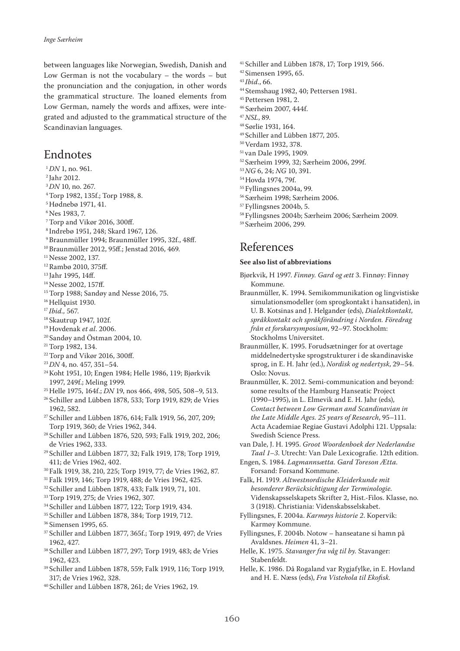between languages like Norwegian, Swedish, Danish and Low German is not the vocabulary – the words – but the pronunciation and the conjugation, in other words the grammatical structure. The loaned elements from Low German, namely the words and affixes, were integrated and adjusted to the grammatical structure of the Scandinavian languages.

#### Endnotes

- <sup>1</sup>DN 1, no. 961.<br><sup>2</sup> Jahr 2012.<br><sup>3</sup>DN 10, no. 267.
- 
- 
- <sup>4</sup>Torp 1982, 135f.; Torp 1988, 8.
- 5 Hødnebø 1971, 41.
- 6 Nes 1983, 7.
- 7 Torp and Vikør 2016, 300ff.
- 8 Indrebø 1951, 248; Skard 1967, 126.
- 9 Braunmüller 1994; Braunmüller 1995, 32f., 48ff.
- 10 Braunmüller 2012, 95ff.; Jenstad 2016, 469.
- <sup>11</sup> Nesse 2002, 137.
- 12 Rambø 2010, 375ff.
- <sup>13</sup> Jahr 1995, 14ff.
- <sup>14</sup> Nesse 2002, 157ff.
- <sup>15</sup> Torp 1988; Sandøy and Nesse 2016, 75.
- $^{16}$  Hellquist 1930.<br> $^{17}$  Ibid., 567.
- 
- <sup>18</sup> Skautrup 1947, 102f.
- 19 Hovdenak *et al*. 2006.
- 20 Sandøy and Östman 2004, 10.
- <sup>21</sup> Torp 1982, 134.
- $22$  Torp and Vikør 2016, 300ff.
- <sup>23</sup>*DN* 4, no. 457, 351–54.
- 24 Koht 1951, 10; Engen 1984; Helle 1986, 119; Bjørkvik 1997, 249f.; Meling 1999.
- 25 Helle 1975, 164f.; *DN* 19, nos 466, 498, 505, 508–9, 513.
- <sup>26</sup> Schiller and Lübben 1878, 533; Torp 1919, 829; de Vries 1962, 582.
- 27 Schiller and Lübben 1876, 614; Falk 1919, 56, 207, 209; Torp 1919, 360; de Vries 1962, 344.
- 28 Schiller and Lübben 1876, 520, 593; Falk 1919, 202, 206; de Vries 1962, 333.
- 29 Schiller and Lübben 1877, 32; Falk 1919, 178; Torp 1919, 411; de Vries 1962, 402.
- 30 Falk 1919, 38, 210, 225; Torp 1919, 77; de Vries 1962, 87.
- 31 Falk 1919, 146; Torp 1919, 488; de Vries 1962, 425.
- 32 Schiller and Lübben 1878, 433; Falk 1919, 71, 101.
- <sup>33</sup> Torp 1919, 275; de Vries 1962, 307.
- 34 Schiller and Lübben 1877, 122; Torp 1919, 434.
- 35 Schiller and Lübben 1878, 384; Torp 1919, 712.
- 36 Simensen 1995, 65.
- <sup>37</sup> Schiller and Lübben 1877, 365f.; Torp 1919, 497; de Vries 1962, 427.
- 38 Schiller and Lübben 1877, 297; Torp 1919, 483; de Vries 1962, 423.
- 39 Schiller and Lübben 1878, 559; Falk 1919, 116; Torp 1919, 317; de Vries 1962, 328.
- 40 Schiller and Lübben 1878, 261; de Vries 1962, 19.
- 41 Schiller and Lübben 1878, 17; Torp 1919, 566.
- 42 Simensen 1995, 65.
- <sup>43</sup>*Ibid*., 66.
- 44 Stemshaug 1982, 40; Pettersen 1981.
- 45 Pettersen 1981, 2.
- 46 Særheim 2007, 444f.
- <sup>47</sup>*NSL*, 89.
- 48 Sørlie 1931, 164.
- 49 Schiller and Lübben 1877, 205.
- 50 Verdam 1932, 378.
- 51 van Dale 1995, 1909.
- 52 Særheim 1999, 32; Særheim 2006, 299f.
- <sup>53</sup>*NG* 6, 24; *NG* 10, 391.
- 54 Hovda 1974, 79f.
- 55 Fyllingsnes 2004a, 99.
- 56 Særheim 1998; Særheim 2006.
- 57 Fyllingsnes 2004b, 5.
- 58 Fyllingsnes 2004b; Særheim 2006; Særheim 2009.
- 59 Særheim 2006, 299.

#### References

#### **See also list of abbreviations**

- Bjørkvik, H 1997. *Finnøy. Gard og ætt* 3. Finnøy: Finnøy Kommune.
- Braunmüller, K. 1994. Semikommunikation og lingvistiske simulationsmodeller (om sprogkontakt i hansatiden), in U. B. Kotsinas and J. Helgander (eds), *Dialektkontakt, språkkontakt och språkförändring i Norden. Föredrag från et forskarsymposium*, 92–97. Stockholm: Stockholms Universitet.
- Braunmüller, K. 1995. Forudsætninger for at overtage middelnedertyske sprogstrukturer i de skandinaviske sprog, in E. H. Jahr (ed.), *Nordisk og nedertysk*, 29–54. Oslo: Novus.
- Braunmüller, K. 2012. Semi-communication and beyond: some results of the Hamburg Hanseatic Project (1990–1995), in L. Elmevik and E. H. Jahr (eds), *Contact between Low German and Scandinavian in the Late Middle Ages. 25 years of Research*, 95–111. Acta Academiae Regiae Gustavi Adolphi 121. Uppsala: Swedish Science Press.
- van Dale, J. H. 1995. *Groot Woordenboek der Nederlandse Taal 1–3*. Utrecht: Van Dale Lexicografie. 12th edition.
- Engen, S. 1984. *Lagmannsætta. Gard Toreson Ætta.*  Forsand: Forsand Kommune.

Falk, H. 1919. *Altwestnordische Kleiderkunde mit besonderer Berücksichtigung der Terminologie.* Videnskapsselskapets Skrifter 2, Hist.-Filos. Klasse, no. 3 (1918). Christiania: Videnskabsselskabet.

- Fyllingsnes, F. 2004a. *Karmøys historie 2*. Kopervik: Karmøy Kommune.
- Fyllingsnes, F. 2004b. Notow hanseatane si hamn på Avaldsnes. *Heimen* 41, 3–21.
- Helle, K. 1975. *Stavanger fra våg til by.* Stavanger: Stabenfeldt.
- Helle, K. 1986. Då Rogaland var Rygjafylke, in E. Hovland and H. E. Næss (eds), *Fra Vistehola til Ekofisk.*